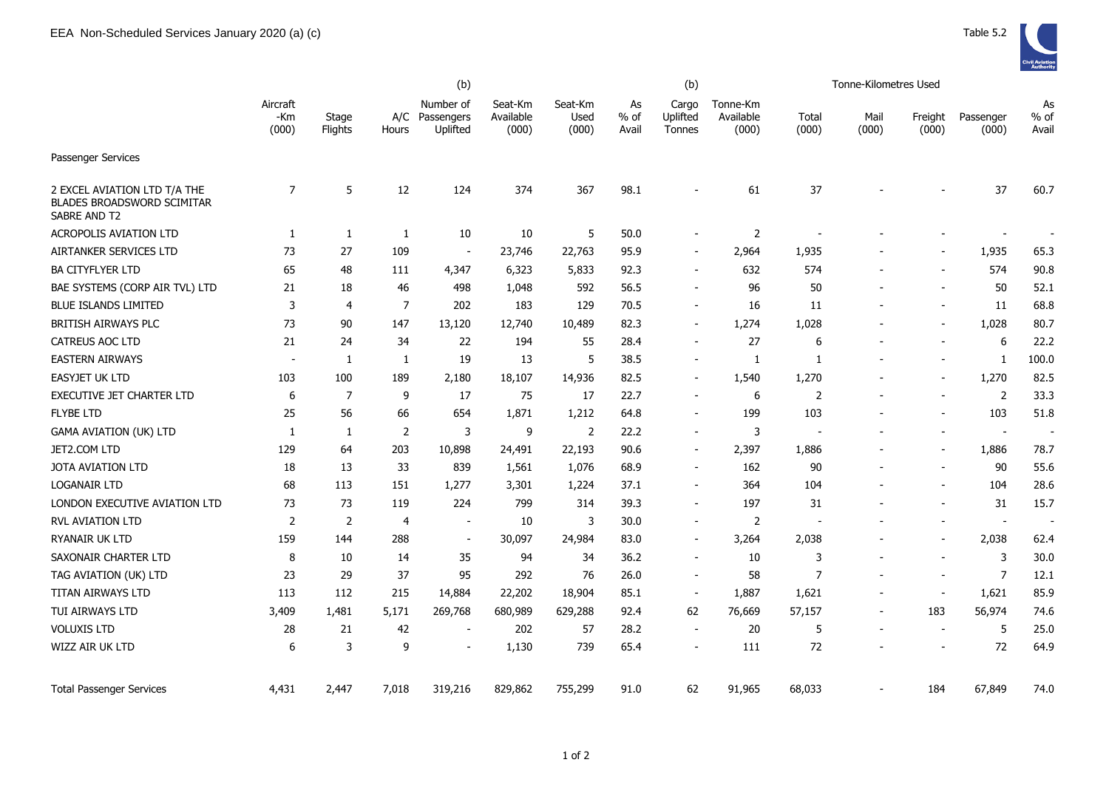

|                                                                            | (b)                      |                  |                |                                     |                               |                          |                       | (b)                         |                                |                | Tonne-Kilometres Used |                          |                          |                     |
|----------------------------------------------------------------------------|--------------------------|------------------|----------------|-------------------------------------|-------------------------------|--------------------------|-----------------------|-----------------------------|--------------------------------|----------------|-----------------------|--------------------------|--------------------------|---------------------|
|                                                                            | Aircraft<br>-Km<br>(000) | Stage<br>Flights | A/C<br>Hours   | Number of<br>Passengers<br>Uplifted | Seat-Km<br>Available<br>(000) | Seat-Km<br>Used<br>(000) | As<br>$%$ of<br>Avail | Cargo<br>Uplifted<br>Tonnes | Tonne-Km<br>Available<br>(000) | Total<br>(000) | Mail<br>(000)         | Freight<br>(000)         | Passenger<br>(000)       | As<br>% of<br>Avail |
| Passenger Services                                                         |                          |                  |                |                                     |                               |                          |                       |                             |                                |                |                       |                          |                          |                     |
| 2 EXCEL AVIATION LTD T/A THE<br>BLADES BROADSWORD SCIMITAR<br>SABRE AND T2 | 7                        | 5                | 12             | 124                                 | 374                           | 367                      | 98.1                  |                             | 61                             | 37             |                       |                          | 37                       | 60.7                |
| <b>ACROPOLIS AVIATION LTD</b>                                              | 1                        | $\mathbf{1}$     | $\mathbf{1}$   | 10                                  | 10                            | 5                        | 50.0                  |                             | $\overline{2}$                 |                |                       |                          |                          |                     |
| AIRTANKER SERVICES LTD                                                     | 73                       | 27               | 109            | $\blacksquare$                      | 23,746                        | 22,763                   | 95.9                  | $\overline{\phantom{a}}$    | 2,964                          | 1,935          |                       |                          | 1,935                    | 65.3                |
| <b>BA CITYFLYER LTD</b>                                                    | 65                       | 48               | 111            | 4,347                               | 6,323                         | 5,833                    | 92.3                  | $\overline{\phantom{a}}$    | 632                            | 574            |                       |                          | 574                      | 90.8                |
| BAE SYSTEMS (CORP AIR TVL) LTD                                             | 21                       | 18               | 46             | 498                                 | 1,048                         | 592                      | 56.5                  | $\overline{\phantom{a}}$    | 96                             | 50             |                       |                          | 50                       | 52.1                |
| <b>BLUE ISLANDS LIMITED</b>                                                | 3                        | 4                | $\overline{7}$ | 202                                 | 183                           | 129                      | 70.5                  | $\overline{\phantom{a}}$    | 16                             | 11             |                       |                          | 11                       | 68.8                |
| <b>BRITISH AIRWAYS PLC</b>                                                 | 73                       | 90               | 147            | 13,120                              | 12,740                        | 10,489                   | 82.3                  | $\overline{\phantom{a}}$    | 1,274                          | 1,028          |                       |                          | 1,028                    | 80.7                |
| <b>CATREUS AOC LTD</b>                                                     | 21                       | 24               | 34             | 22                                  | 194                           | 55                       | 28.4                  | $\overline{\phantom{a}}$    | 27                             | 6              |                       | $\blacksquare$           | 6                        | 22.2                |
| <b>EASTERN AIRWAYS</b>                                                     | $\blacksquare$           | 1                | 1              | 19                                  | 13                            | 5                        | 38.5                  | $\blacksquare$              | 1                              | $\mathbf{1}$   |                       |                          | 1                        | 100.0               |
| <b>EASYJET UK LTD</b>                                                      | 103                      | 100              | 189            | 2,180                               | 18,107                        | 14,936                   | 82.5                  | $\overline{\phantom{a}}$    | 1,540                          | 1,270          |                       |                          | 1,270                    | 82.5                |
| EXECUTIVE JET CHARTER LTD                                                  | 6                        | $\overline{7}$   | 9              | 17                                  | 75                            | 17                       | 22.7                  | $\overline{\phantom{a}}$    | 6                              | 2              |                       |                          | 2                        | 33.3                |
| <b>FLYBE LTD</b>                                                           | 25                       | 56               | 66             | 654                                 | 1,871                         | 1,212                    | 64.8                  |                             | 199                            | 103            |                       |                          | 103                      | 51.8                |
| <b>GAMA AVIATION (UK) LTD</b>                                              | $\mathbf{1}$             | 1                | 2              | 3                                   | 9                             | $\overline{2}$           | 22.2                  | $\overline{\phantom{a}}$    | 3                              |                |                       |                          | $\overline{\phantom{a}}$ | $\sim$              |
| JET2.COM LTD                                                               | 129                      | 64               | 203            | 10,898                              | 24,491                        | 22,193                   | 90.6                  | $\blacksquare$              | 2,397                          | 1,886          |                       |                          | 1,886                    | 78.7                |
| <b>JOTA AVIATION LTD</b>                                                   | 18                       | 13               | 33             | 839                                 | 1,561                         | 1,076                    | 68.9                  | $\blacksquare$              | 162                            | 90             |                       | $\blacksquare$           | 90                       | 55.6                |
| <b>LOGANAIR LTD</b>                                                        | 68                       | 113              | 151            | 1,277                               | 3,301                         | 1,224                    | 37.1                  | $\overline{\phantom{a}}$    | 364                            | 104            |                       |                          | 104                      | 28.6                |
| LONDON EXECUTIVE AVIATION LTD                                              | 73                       | 73               | 119            | 224                                 | 799                           | 314                      | 39.3                  | $\sim$                      | 197                            | 31             |                       |                          | 31                       | 15.7                |
| <b>RVL AVIATION LTD</b>                                                    | 2                        | $\overline{2}$   | $\overline{4}$ | $\overline{\phantom{a}}$            | 10                            | 3                        | 30.0                  | $\overline{\phantom{a}}$    | 2                              |                |                       |                          | $\overline{\phantom{a}}$ |                     |
| RYANAIR UK LTD                                                             | 159                      | 144              | 288            | $\overline{\phantom{a}}$            | 30,097                        | 24,984                   | 83.0                  | $\overline{\phantom{a}}$    | 3,264                          | 2,038          |                       |                          | 2,038                    | 62.4                |
| SAXONAIR CHARTER LTD                                                       | 8                        | 10               | 14             | 35                                  | 94                            | 34                       | 36.2                  | $\overline{\phantom{a}}$    | 10                             | 3              |                       | $\overline{\phantom{a}}$ | 3                        | 30.0                |
| TAG AVIATION (UK) LTD                                                      | 23                       | 29               | 37             | 95                                  | 292                           | 76                       | 26.0                  | $\overline{\phantom{a}}$    | 58                             | $\overline{7}$ |                       | $\blacksquare$           | $\overline{7}$           | 12.1                |
| TITAN AIRWAYS LTD                                                          | 113                      | 112              | 215            | 14,884                              | 22,202                        | 18,904                   | 85.1                  | $\overline{\phantom{a}}$    | 1,887                          | 1,621          |                       | $\blacksquare$           | 1,621                    | 85.9                |
| TUI AIRWAYS LTD                                                            | 3,409                    | 1,481            | 5,171          | 269,768                             | 680,989                       | 629,288                  | 92.4                  | 62                          | 76,669                         | 57,157         |                       | 183                      | 56,974                   | 74.6                |
| <b>VOLUXIS LTD</b>                                                         | 28                       | 21               | 42             | $\overline{\phantom{a}}$            | 202                           | 57                       | 28.2                  | $\overline{\phantom{a}}$    | 20                             | 5              |                       | $\overline{a}$           | 5                        | 25.0                |
| WIZZ AIR UK LTD                                                            | 6                        | 3                | 9              | $\overline{\phantom{a}}$            | 1,130                         | 739                      | 65.4                  | $\overline{\phantom{a}}$    | 111                            | 72             |                       | $\blacksquare$           | 72                       | 64.9                |
| <b>Total Passenger Services</b>                                            | 4,431                    | 2,447            | 7,018          | 319,216                             | 829,862                       | 755,299                  | 91.0                  | 62                          | 91,965                         | 68,033         |                       | 184                      | 67,849                   | 74.0                |